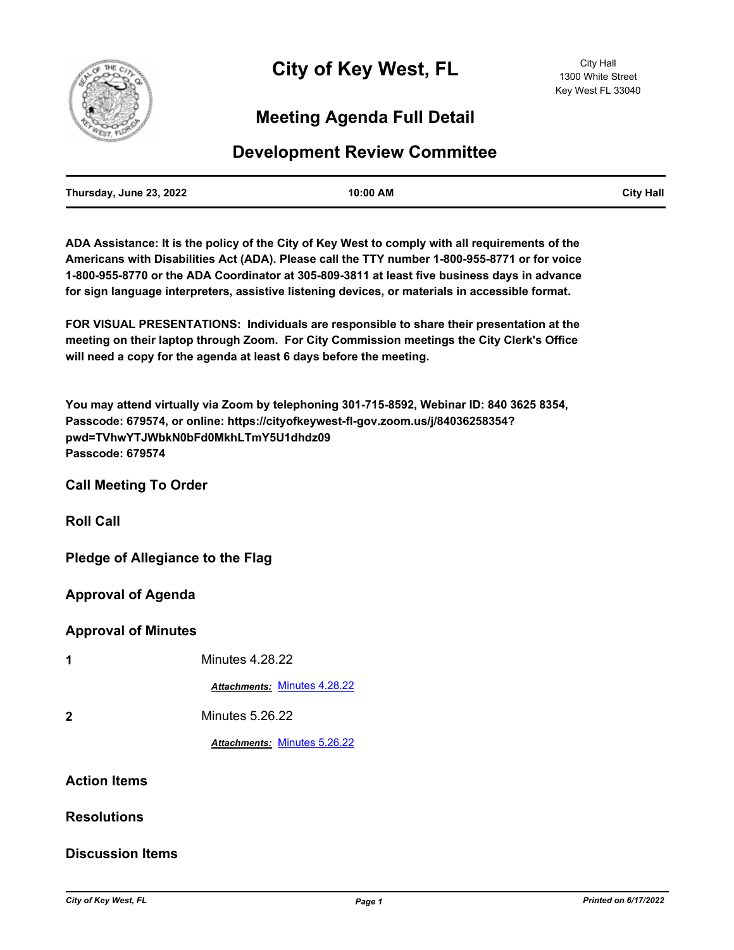

# **Meeting Agenda Full Detail**

## **Development Review Committee**

| Thursday, June 23, 2022 | 10:00 AM | <b>City Hall</b> |
|-------------------------|----------|------------------|
|                         |          |                  |

**ADA Assistance: It is the policy of the City of Key West to comply with all requirements of the Americans with Disabilities Act (ADA). Please call the TTY number 1-800-955-8771 or for voice 1-800-955-8770 or the ADA Coordinator at 305-809-3811 at least five business days in advance for sign language interpreters, assistive listening devices, or materials in accessible format.**

**FOR VISUAL PRESENTATIONS: Individuals are responsible to share their presentation at the meeting on their laptop through Zoom. For City Commission meetings the City Clerk's Office will need a copy for the agenda at least 6 days before the meeting.**

**You may attend virtually via Zoom by telephoning 301-715-8592, Webinar ID: 840 3625 8354, Passcode: 679574, or online: https://cityofkeywest-fl-gov.zoom.us/j/84036258354? pwd=TVhwYTJWbkN0bFd0MkhLTmY5U1dhdz09 Passcode: 679574**

**Call Meeting To Order**

**Roll Call**

**Pledge of Allegiance to the Flag**

**Approval of Agenda**

#### **Approval of Minutes**

| 1                   | <b>Minutes 4.28.22</b>       |
|---------------------|------------------------------|
|                     | Attachments: Minutes 4.28.22 |
| $\mathbf{2}$        | Minutes 5.26.22              |
|                     | Attachments: Minutes 5.26.22 |
| <b>Action Items</b> |                              |

#### **Resolutions**

### **Discussion Items**